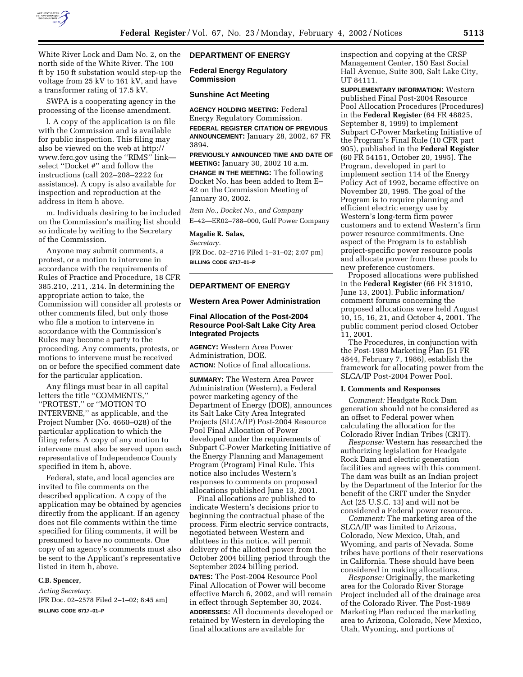

White River Lock and Dam No. 2, on the north side of the White River. The 100 ft by 150 ft substation would step-up the voltage from 25 kV to 161 kV, and have a transformer rating of 17.5 kV.

SWPA is a cooperating agency in the processing of the license amendment.

l. A copy of the application is on file with the Commission and is available for public inspection. This filing may also be viewed on the web at http:// www.ferc.gov using the ''RIMS'' link select ''Docket #'' and follow the instructions (call 202–208–2222 for assistance). A copy is also available for inspection and reproduction at the address in item h above.

m. Individuals desiring to be included on the Commission's mailing list should so indicate by writing to the Secretary of the Commission.

Anyone may submit comments, a protest, or a motion to intervene in accordance with the requirements of Rules of Practice and Procedure, 18 CFR 385.210, .211, .214. In determining the appropriate action to take, the Commission will consider all protests or other comments filed, but only those who file a motion to intervene in accordance with the Commission's Rules may become a party to the proceeding. Any comments, protests, or motions to intervene must be received on or before the specified comment date for the particular application.

Any filings must bear in all capital letters the title ''COMMENTS,'' ''PROTEST,'' or ''MOTION TO INTERVENE,'' as applicable, and the Project Number (No. 4660–028) of the particular application to which the filing refers. A copy of any motion to intervene must also be served upon each representative of Independence County specified in item h, above.

Federal, state, and local agencies are invited to file comments on the described application. A copy of the application may be obtained by agencies directly from the applicant. If an agency does not file comments within the time specified for filing comments, it will be presumed to have no comments. One copy of an agency's comments must also be sent to the Applicant's representative listed in item h, above.

#### **C.B. Spencer,**

*Acting Secretary.* [FR Doc. 02–2578 Filed 2–1–02; 8:45 am] **BILLING CODE 6717–01–P**

## **DEPARTMENT OF ENERGY**

#### **Federal Energy Regulatory Commission**

## **Sunshine Act Meeting**

**AGENCY HOLDING MEETING:** Federal Energy Regulatory Commission. **FEDERAL REGISTER CITATION OF PREVIOUS ANNOUNCEMENT:** January 28, 2002, 67 FR 3894.

**PREVIOUSLY ANNOUNCED TIME AND DATE OF MEETING:** January 30, 2002 10 a.m.

**CHANGE IN THE MEETING:** The following Docket No. has been added to Item E– 42 on the Commission Meeting of January 30, 2002.

*Item No., Docket No., and Company* E–42—ER02–788–000, Gulf Power Company

#### **Magalie R. Salas,**

*Secretary.*

[FR Doc. 02–2716 Filed 1–31–02; 2:07 pm] **BILLING CODE 6717–01–P**

# **DEPARTMENT OF ENERGY**

#### **Western Area Power Administration**

# **Final Allocation of the Post-2004 Resource Pool-Salt Lake City Area Integrated Projects**

**AGENCY:** Western Area Power Administration, DOE. **ACTION:** Notice of final allocations.

**SUMMARY:** The Western Area Power Administration (Western), a Federal power marketing agency of the Department of Energy (DOE), announces its Salt Lake City Area Integrated Projects (SLCA/IP) Post-2004 Resource Pool Final Allocation of Power developed under the requirements of Subpart C-Power Marketing Initiative of the Energy Planning and Management Program (Program) Final Rule. This notice also includes Western's responses to comments on proposed allocations published June 13, 2001.

Final allocations are published to indicate Western's decisions prior to beginning the contractual phase of the process. Firm electric service contracts, negotiated between Western and allottees in this notice, will permit delivery of the allotted power from the October 2004 billing period through the September 2024 billing period. **DATES:** The Post-2004 Resource Pool Final Allocation of Power will become effective March 6, 2002, and will remain in effect through September 30, 2024.

**ADDRESSES:** All documents developed or retained by Western in developing the final allocations are available for

inspection and copying at the CRSP Management Center, 150 East Social Hall Avenue, Suite 300, Salt Lake City, UT 84111.

**SUPPLEMENTARY INFORMATION:** Western published Final Post-2004 Resource Pool Allocation Procedures (Procedures) in the **Federal Register** (64 FR 48825, September 8, 1999) to implement Subpart C-Power Marketing Initiative of the Program's Final Rule (10 CFR part 905), published in the **Federal Register** (60 FR 54151, October 20, 1995). The Program, developed in part to implement section 114 of the Energy Policy Act of 1992, became effective on November 20, 1995. The goal of the Program is to require planning and efficient electric energy use by Western's long-term firm power customers and to extend Western's firm power resource commitments. One aspect of the Program is to establish project-specific power resource pools and allocate power from these pools to new preference customers.

Proposed allocations were published in the **Federal Register** (66 FR 31910, June 13, 2001). Public information/ comment forums concerning the proposed allocations were held August 10, 15, 16, 21, and October 4, 2001. The public comment period closed October 11, 2001.

The Procedures, in conjunction with the Post-1989 Marketing Plan (51 FR 4844, February 7, 1986), establish the framework for allocating power from the SLCA/IP Post-2004 Power Pool.

## **I. Comments and Responses**

*Comment:* Headgate Rock Dam generation should not be considered as an offset to Federal power when calculating the allocation for the Colorado River Indian Tribes (CRIT).

*Response:* Western has researched the authorizing legislation for Headgate Rock Dam and electric generation facilities and agrees with this comment. The dam was built as an Indian project by the Department of the Interior for the benefit of the CRIT under the Snyder Act (25 U.S.C. 13) and will not be considered a Federal power resource.

*Comment:* The marketing area of the SLCA/IP was limited to Arizona, Colorado, New Mexico, Utah, and Wyoming, and parts of Nevada. Some tribes have portions of their reservations in California. These should have been considered in making allocations.

*Response:* Originally, the marketing area for the Colorado River Storage Project included all of the drainage area of the Colorado River. The Post-1989 Marketing Plan reduced the marketing area to Arizona, Colorado, New Mexico, Utah, Wyoming, and portions of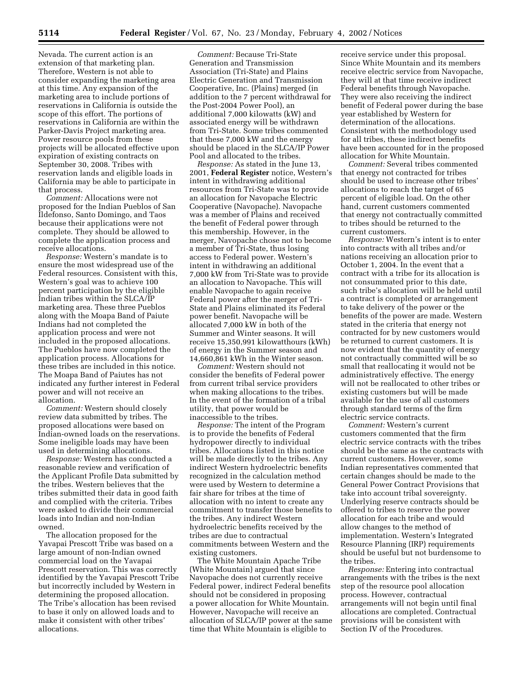Nevada. The current action is an extension of that marketing plan. Therefore, Western is not able to consider expanding the marketing area at this time. Any expansion of the marketing area to include portions of reservations in California is outside the scope of this effort. The portions of reservations in California are within the Parker-Davis Project marketing area. Power resource pools from these projects will be allocated effective upon expiration of existing contracts on September 30, 2008. Tribes with reservation lands and eligible loads in California may be able to participate in that process.

*Comment:* Allocations were not proposed for the Indian Pueblos of San Ildefonso, Santo Domingo, and Taos because their applications were not complete. They should be allowed to complete the application process and receive allocations.

*Response:* Western's mandate is to ensure the most widespread use of the Federal resources. Consistent with this, Western's goal was to achieve 100 percent participation by the eligible Indian tribes within the SLCA/IP marketing area. These three Pueblos along with the Moapa Band of Paiute Indians had not completed the application process and were not included in the proposed allocations. The Pueblos have now completed the application process. Allocations for these tribes are included in this notice. The Moapa Band of Paiutes has not indicated any further interest in Federal power and will not receive an allocation.

*Comment:* Western should closely review data submitted by tribes. The proposed allocations were based on Indian-owned loads on the reservations. Some ineligible loads may have been used in determining allocations.

*Response:* Western has conducted a reasonable review and verification of the Applicant Profile Data submitted by the tribes. Western believes that the tribes submitted their data in good faith and complied with the criteria. Tribes were asked to divide their commercial loads into Indian and non-Indian owned.

The allocation proposed for the Yavapai Prescott Tribe was based on a large amount of non-Indian owned commercial load on the Yavapai Prescott reservation. This was correctly identified by the Yavapai Prescott Tribe but incorrectly included by Western in determining the proposed allocation. The Tribe's allocation has been revised to base it only on allowed loads and to make it consistent with other tribes' allocations.

*Comment:* Because Tri-State Generation and Transmission Association (Tri-State) and Plains Electric Generation and Transmission Cooperative, Inc. (Plains) merged (in addition to the 7 percent withdrawal for the Post-2004 Power Pool), an additional 7,000 kilowatts (kW) and associated energy will be withdrawn from Tri-State. Some tribes commented that these 7,000 kW and the energy should be placed in the SLCA/IP Power Pool and allocated to the tribes.

*Response:* As stated in the June 13, 2001, **Federal Register** notice, Western's intent in withdrawing additional resources from Tri-State was to provide an allocation for Navopache Electric Cooperative (Navopache). Navopache was a member of Plains and received the benefit of Federal power through this membership. However, in the merger, Navopache chose not to become a member of Tri-State, thus losing access to Federal power. Western's intent in withdrawing an additional 7,000 kW from Tri-State was to provide an allocation to Navopache. This will enable Navopache to again receive Federal power after the merger of Tri-State and Plains eliminated its Federal power benefit. Navopache will be allocated 7,000 kW in both of the Summer and Winter seasons. It will receive 15,350,991 kilowatthours (kWh) of energy in the Summer season and 14,660,861 kWh in the Winter season.

*Comment:* Western should not consider the benefits of Federal power from current tribal service providers when making allocations to the tribes. In the event of the formation of a tribal utility, that power would be inaccessible to the tribes.

*Response:* The intent of the Program is to provide the benefits of Federal hydropower directly to individual tribes. Allocations listed in this notice will be made directly to the tribes. Any indirect Western hydroelectric benefits recognized in the calculation method were used by Western to determine a fair share for tribes at the time of allocation with no intent to create any commitment to transfer those benefits to the tribes. Any indirect Western hydroelectric benefits received by the tribes are due to contractual commitments between Western and the existing customers.

The White Mountain Apache Tribe (White Mountain) argued that since Navopache does not currently receive Federal power, indirect Federal benefits should not be considered in proposing a power allocation for White Mountain. However, Navopache will receive an allocation of SLCA/IP power at the same time that White Mountain is eligible to

receive service under this proposal. Since White Mountain and its members receive electric service from Navopache, they will at that time receive indirect Federal benefits through Navopache. They were also receiving the indirect benefit of Federal power during the base year established by Western for determination of the allocations. Consistent with the methodology used for all tribes, these indirect benefits have been accounted for in the proposed allocation for White Mountain.

*Comment:* Several tribes commented that energy not contracted for tribes should be used to increase other tribes' allocations to reach the target of 65 percent of eligible load. On the other hand, current customers commented that energy not contractually committed to tribes should be returned to the current customers.

*Response:* Western's intent is to enter into contracts with all tribes and/or nations receiving an allocation prior to October 1, 2004. In the event that a contract with a tribe for its allocation is not consummated prior to this date, such tribe's allocation will be held until a contract is completed or arrangement to take delivery of the power or the benefits of the power are made. Western stated in the criteria that energy not contracted for by new customers would be returned to current customers. It is now evident that the quantity of energy not contractually committed will be so small that reallocating it would not be administratively effective. The energy will not be reallocated to other tribes or existing customers but will be made available for the use of all customers through standard terms of the firm electric service contracts.

*Comment:* Western's current customers commented that the firm electric service contracts with the tribes should be the same as the contracts with current customers. However, some Indian representatives commented that certain changes should be made to the General Power Contract Provisions that take into account tribal sovereignty. Underlying reserve contracts should be offered to tribes to reserve the power allocation for each tribe and would allow changes to the method of implementation. Western's Integrated Resource Planning (IRP) requirements should be useful but not burdensome to the tribes.

*Response:* Entering into contractual arrangements with the tribes is the next step of the resource pool allocation process. However, contractual arrangements will not begin until final allocations are completed. Contractual provisions will be consistent with Section IV of the Procedures.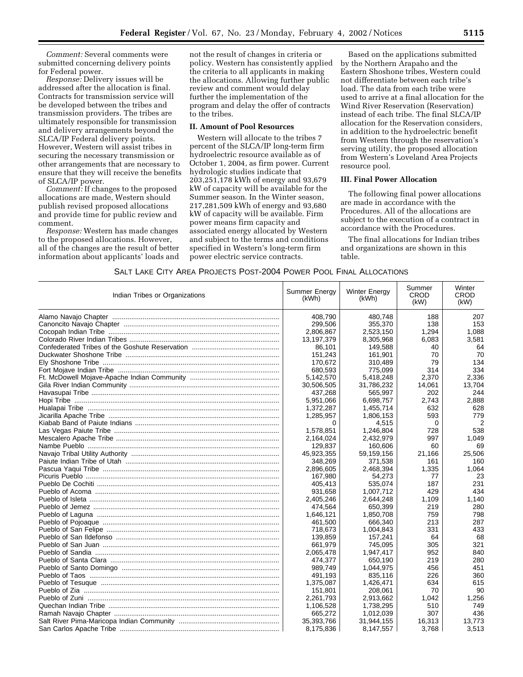*Comment:* Several comments were submitted concerning delivery points for Federal power.

*Response:* Delivery issues will be addressed after the allocation is final. Contracts for transmission service will be developed between the tribes and transmission providers. The tribes are ultimately responsible for transmission and delivery arrangements beyond the SLCA/IP Federal delivery points. However, Western will assist tribes in securing the necessary transmission or other arrangements that are necessary to ensure that they will receive the benefits of SLCA/IP power.

*Comment:* If changes to the proposed allocations are made, Western should publish revised proposed allocations and provide time for public review and comment.

*Response:* Western has made changes to the proposed allocations. However, all of the changes are the result of better information about applicants' loads and not the result of changes in criteria or policy. Western has consistently applied the criteria to all applicants in making the allocations. Allowing further public review and comment would delay further the implementation of the program and delay the offer of contracts to the tribes.

#### **II. Amount of Pool Resources**

Western will allocate to the tribes 7 percent of the SLCA/IP long-term firm hydroelectric resource available as of October 1, 2004, as firm power. Current hydrologic studies indicate that 203,251,178 kWh of energy and 93,679 kW of capacity will be available for the Summer season. In the Winter season, 217,281,509 kWh of energy and 93,680 kW of capacity will be available. Firm power means firm capacity and associated energy allocated by Western and subject to the terms and conditions specified in Western's long-term firm power electric service contracts.

Based on the applications submitted by the Northern Arapaho and the Eastern Shoshone tribes, Western could not differentiate between each tribe's load. The data from each tribe were used to arrive at a final allocation for the Wind River Reservation (Reservation) instead of each tribe. The final SLCA/IP allocation for the Reservation considers, in addition to the hydroelectric benefit from Western through the reservation's serving utility, the proposed allocation from Western's Loveland Area Projects resource pool.

## **III. Final Power Allocation**

The following final power allocations are made in accordance with the Procedures. All of the allocations are subject to the execution of a contract in accordance with the Procedures.

The final allocations for Indian tribes and organizations are shown in this table.

# SALT LAKE CITY AREA PROJECTS POST-2004 POWER POOL FINAL ALLOCATIONS

| Indian Tribes or Organizations                  | Summer Energy<br>(kWh) | <b>Winter Energy</b><br>(kWh) | Summer<br>CROD<br>(kW) | Winter<br>CROD<br>(kW) |
|-------------------------------------------------|------------------------|-------------------------------|------------------------|------------------------|
|                                                 | 408,790                | 480,748                       | 188                    | 207                    |
|                                                 | 299,506                | 355,370                       | 138                    | 153                    |
|                                                 | 2,806,867              | 2,523,150                     | 1,294                  | 1,088                  |
|                                                 | 13,197,379             | 8,305,968                     | 6,083                  | 3,581                  |
|                                                 | 86,101                 | 149,588                       | 40                     | 64                     |
|                                                 | 151,243                | 161,901                       | 70                     | 70                     |
|                                                 | 170.672                | 310,489                       | 79                     | 134                    |
|                                                 | 680.593                | 775,099                       | 314                    | 334                    |
|                                                 | 5,142,570              | 5,418,248                     | 2,370                  | 2,336                  |
|                                                 | 30,506,505             | 31,786,232                    | 14,061                 | 13.704                 |
|                                                 | 437,268                | 565,997                       | 202                    | 244                    |
|                                                 | 5.951.066              | 6.698.757                     | 2.743                  | 2,888                  |
|                                                 | 1,372,287              | 1,455,714                     | 632                    | 628                    |
|                                                 | 1,285,957              | 1,806,153                     | 593                    | 779                    |
|                                                 | 0                      | 4,515                         | 0                      | 2                      |
|                                                 | 1,578,851              | 1,246,804                     | 728                    | 538                    |
|                                                 | 2,164,024              | 2,432,979                     | 997                    | 1.049                  |
|                                                 | 129,837                | 160,606                       | 60                     | 69                     |
|                                                 | 45,923,355             | 59,159,156                    | 21,166                 | 25,506                 |
|                                                 | 348.269                | 371,538                       | 161                    | 160                    |
|                                                 | 2,896,605              | 2,468,394                     | 1,335                  | 1.064                  |
|                                                 | 167,980                | 54.273                        | 77                     | 23                     |
|                                                 | 405.413                | 535.074                       | 187                    | 231                    |
|                                                 | 931,658                | 1,007,712                     | 429                    | 434                    |
|                                                 | 2,405,246              | 2,644,248                     | 1,109                  | 1,140                  |
|                                                 | 474,564                | 650,399                       | 219                    | 280                    |
|                                                 | 1,646,121              | 1,850,708                     | 759                    | 798                    |
|                                                 | 461,500                | 666,340                       | 213                    | 287                    |
|                                                 | 718,673                | 1,004,843                     | 331                    | 433                    |
|                                                 | 139,859                | 157,241                       | 64                     | 68                     |
|                                                 | 661,979                | 745,095                       | 305                    | 321                    |
|                                                 | 2,065,478              | 1,947,417                     | 952                    | 840                    |
|                                                 | 474,377                | 650,190                       | 219                    | 280                    |
|                                                 | 989,749                | 1,044,975                     | 456                    | 451                    |
|                                                 | 491,193                | 835,116                       | 226                    | 360                    |
|                                                 | 1,375,087              | 1,426,471                     | 634                    | 615                    |
| Pueblo of Zia ……………………………………………………………………………………… | 151,801                | 208,061                       | 70                     | 90                     |
| Pueblo of Zuni …………………………………………………………………………………… | 2,261,793              | 2,913,662                     | 1,042                  | 1,256                  |
|                                                 | 1,106,528              | 1,738,295                     | 510                    | 749                    |
|                                                 | 665,272                | 1,012,039                     | 307                    | 436                    |
|                                                 | 35,393,766             | 31,944,155                    | 16,313                 | 13,773                 |
|                                                 | 8,175,836              | 8,147,557                     | 3.768                  | 3,513                  |